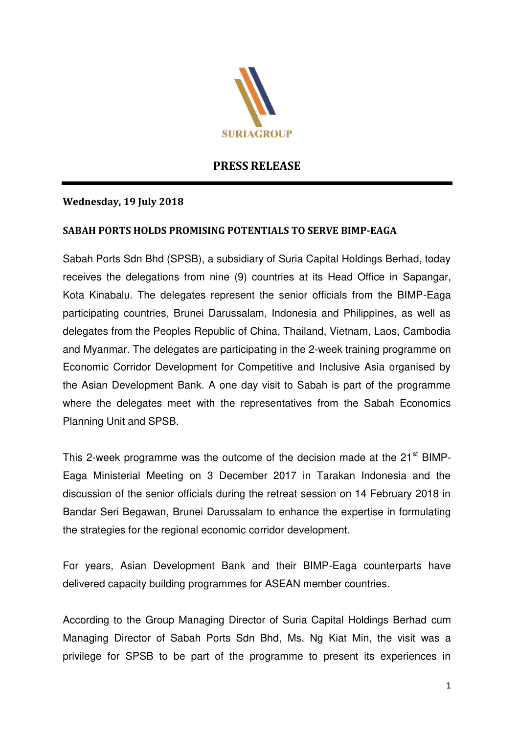

# **PRESS RELEASE**

## **Wednesday, 19 July 2018**

## **SABAH PORTS HOLDS PROMISING POTENTIALS TO SERVE BIMP-EAGA**

Sabah Ports Sdn Bhd (SPSB), a subsidiary of Suria Capital Holdings Berhad, today receives the delegations from nine (9) countries at its Head Office in Sapangar, Kota Kinabalu. The delegates represent the senior officials from the BIMP-Eaga participating countries, Brunei Darussalam, Indonesia and Philippines, as well as delegates from the Peoples Republic of China, Thailand, Vietnam, Laos, Cambodia and Myanmar. The delegates are participating in the 2-week training programme on Economic Corridor Development for Competitive and Inclusive Asia organised by the Asian Development Bank. A one day visit to Sabah is part of the programme where the delegates meet with the representatives from the Sabah Economics Planning Unit and SPSB.

This 2-week programme was the outcome of the decision made at the 21<sup>st</sup> BIMP-Eaga Ministerial Meeting on 3 December 2017 in Tarakan Indonesia and the discussion of the senior officials during the retreat session on 14 February 2018 in Bandar Seri Begawan, Brunei Darussalam to enhance the expertise in formulating the strategies for the regional economic corridor development.

For years, Asian Development Bank and their BIMP-Eaga counterparts have delivered capacity building programmes for ASEAN member countries.

According to the Group Managing Director of Suria Capital Holdings Berhad cum Managing Director of Sabah Ports Sdn Bhd, Ms. Ng Kiat Min, the visit was a privilege for SPSB to be part of the programme to present its experiences in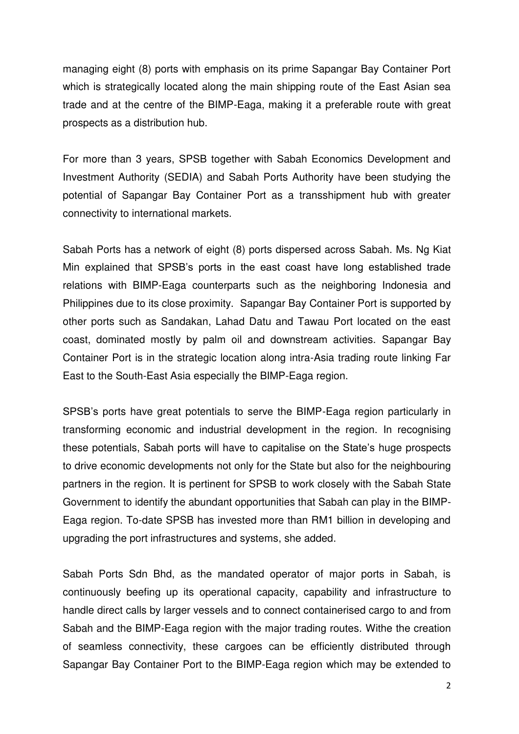managing eight (8) ports with emphasis on its prime Sapangar Bay Container Port which is strategically located along the main shipping route of the East Asian sea trade and at the centre of the BIMP-Eaga, making it a preferable route with great prospects as a distribution hub.

For more than 3 years, SPSB together with Sabah Economics Development and Investment Authority (SEDIA) and Sabah Ports Authority have been studying the potential of Sapangar Bay Container Port as a transshipment hub with greater connectivity to international markets.

Sabah Ports has a network of eight (8) ports dispersed across Sabah. Ms. Ng Kiat Min explained that SPSB's ports in the east coast have long established trade relations with BIMP-Eaga counterparts such as the neighboring Indonesia and Philippines due to its close proximity. Sapangar Bay Container Port is supported by other ports such as Sandakan, Lahad Datu and Tawau Port located on the east coast, dominated mostly by palm oil and downstream activities. Sapangar Bay Container Port is in the strategic location along intra-Asia trading route linking Far East to the South-East Asia especially the BIMP-Eaga region.

SPSB's ports have great potentials to serve the BIMP-Eaga region particularly in transforming economic and industrial development in the region. In recognising these potentials, Sabah ports will have to capitalise on the State's huge prospects to drive economic developments not only for the State but also for the neighbouring partners in the region. It is pertinent for SPSB to work closely with the Sabah State Government to identify the abundant opportunities that Sabah can play in the BIMP-Eaga region. To-date SPSB has invested more than RM1 billion in developing and upgrading the port infrastructures and systems, she added.

Sabah Ports Sdn Bhd, as the mandated operator of major ports in Sabah, is continuously beefing up its operational capacity, capability and infrastructure to handle direct calls by larger vessels and to connect containerised cargo to and from Sabah and the BIMP-Eaga region with the major trading routes. Withe the creation of seamless connectivity, these cargoes can be efficiently distributed through Sapangar Bay Container Port to the BIMP-Eaga region which may be extended to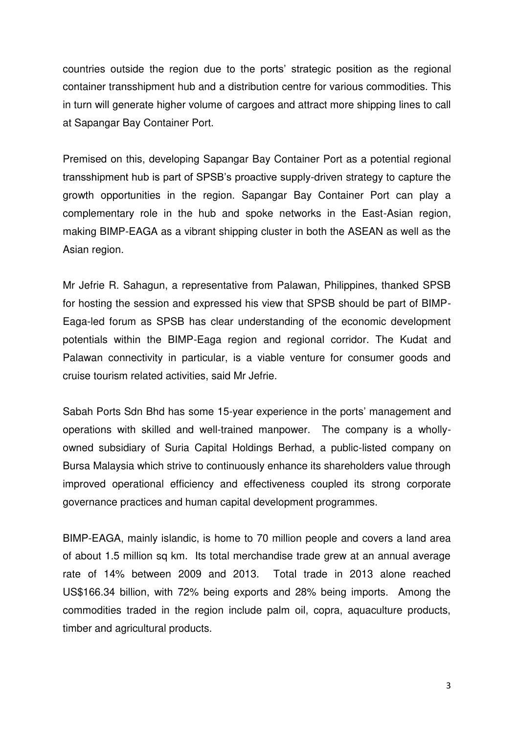countries outside the region due to the ports' strategic position as the regional container transshipment hub and a distribution centre for various commodities. This in turn will generate higher volume of cargoes and attract more shipping lines to call at Sapangar Bay Container Port.

Premised on this, developing Sapangar Bay Container Port as a potential regional transshipment hub is part of SPSB's proactive supply-driven strategy to capture the growth opportunities in the region. Sapangar Bay Container Port can play a complementary role in the hub and spoke networks in the East-Asian region, making BIMP-EAGA as a vibrant shipping cluster in both the ASEAN as well as the Asian region.

Mr Jefrie R. Sahagun, a representative from Palawan, Philippines, thanked SPSB for hosting the session and expressed his view that SPSB should be part of BIMP-Eaga-led forum as SPSB has clear understanding of the economic development potentials within the BIMP-Eaga region and regional corridor. The Kudat and Palawan connectivity in particular, is a viable venture for consumer goods and cruise tourism related activities, said Mr Jefrie.

Sabah Ports Sdn Bhd has some 15-year experience in the ports' management and operations with skilled and well-trained manpower. The company is a whollyowned subsidiary of Suria Capital Holdings Berhad, a public-listed company on Bursa Malaysia which strive to continuously enhance its shareholders value through improved operational efficiency and effectiveness coupled its strong corporate governance practices and human capital development programmes.

BIMP-EAGA, mainly islandic, is home to 70 million people and covers a land area of about 1.5 million sq km. Its total merchandise trade grew at an annual average rate of 14% between 2009 and 2013. Total trade in 2013 alone reached US\$166.34 billion, with 72% being exports and 28% being imports. Among the commodities traded in the region include palm oil, copra, aquaculture products, timber and agricultural products.